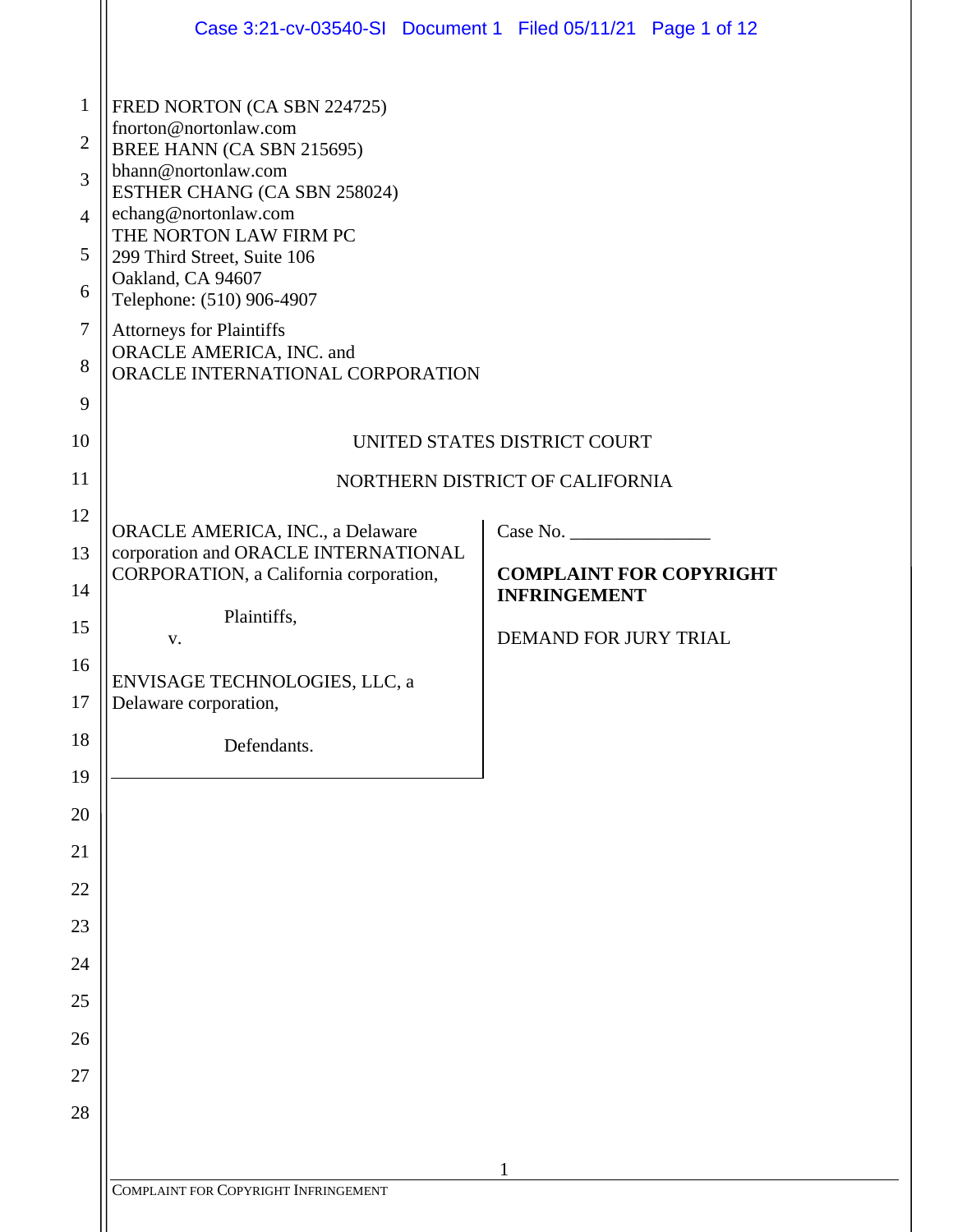|                | Case 3:21-cv-03540-SI Document 1 Filed 05/11/21 Page 1 of 12                   |                                 |
|----------------|--------------------------------------------------------------------------------|---------------------------------|
| $\mathbf{1}$   | FRED NORTON (CA SBN 224725)                                                    |                                 |
| $\overline{2}$ | fnorton@nortonlaw.com<br>BREE HANN (CA SBN 215695)                             |                                 |
| 3              | bhann@nortonlaw.com<br>ESTHER CHANG (CA SBN 258024)                            |                                 |
| $\overline{4}$ | echang@nortonlaw.com                                                           |                                 |
| 5              | THE NORTON LAW FIRM PC<br>299 Third Street, Suite 106                          |                                 |
| 6              | Oakland, CA 94607<br>Telephone: (510) 906-4907                                 |                                 |
| $\tau$         | <b>Attorneys for Plaintiffs</b><br>ORACLE AMERICA, INC. and                    |                                 |
| 8              | ORACLE INTERNATIONAL CORPORATION                                               |                                 |
| 9              |                                                                                |                                 |
| 10             |                                                                                | UNITED STATES DISTRICT COURT    |
| 11             |                                                                                | NORTHERN DISTRICT OF CALIFORNIA |
| 12             | ORACLE AMERICA, INC., a Delaware                                               | Case No.                        |
| 13             | corporation and ORACLE INTERNATIONAL<br>CORPORATION, a California corporation, | <b>COMPLAINT FOR COPYRIGHT</b>  |
| 14             | Plaintiffs,                                                                    | <b>INFRINGEMENT</b>             |
| 15<br>16       | V.                                                                             | <b>DEMAND FOR JURY TRIAL</b>    |
| 17             | ENVISAGE TECHNOLOGIES, LLC, a<br>Delaware corporation,                         |                                 |
| 18             |                                                                                |                                 |
| 19             | Defendants.                                                                    |                                 |
| 20             |                                                                                |                                 |
| 21             |                                                                                |                                 |
| 22             |                                                                                |                                 |
| 23             |                                                                                |                                 |
| 24             |                                                                                |                                 |
| 25             |                                                                                |                                 |
| 26             |                                                                                |                                 |
| 27             |                                                                                |                                 |
| 28             |                                                                                |                                 |
|                |                                                                                | 1                               |
|                | COMPLAINT FOR COPYRIGHT INFRINGEMENT                                           |                                 |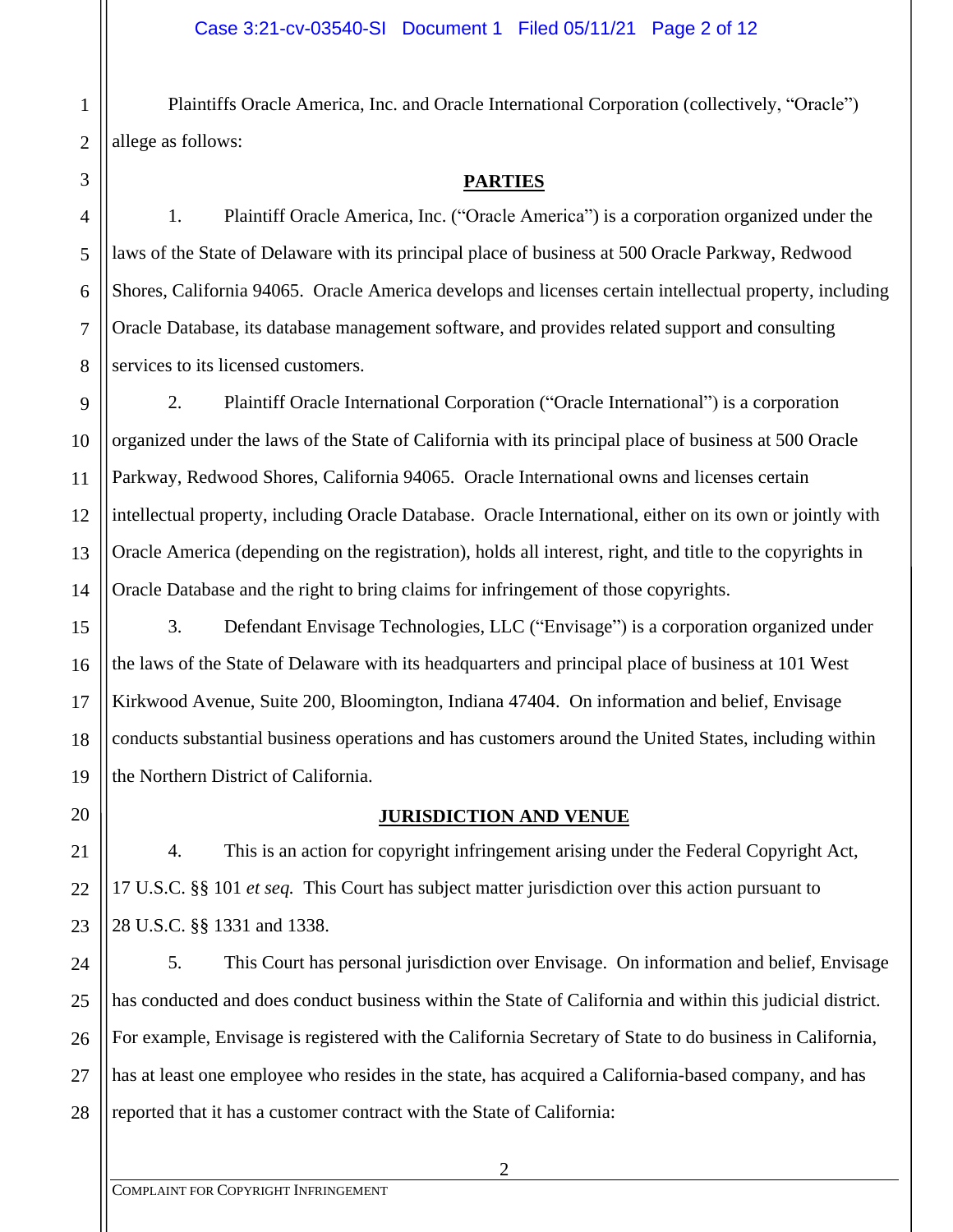Plaintiffs Oracle America, Inc. and Oracle International Corporation (collectively, "Oracle") allege as follows:

1

2

## **PARTIES**

1. Plaintiff Oracle America, Inc. ("Oracle America") is a corporation organized under the laws of the State of Delaware with its principal place of business at 500 Oracle Parkway, Redwood Shores, California 94065. Oracle America develops and licenses certain intellectual property, including Oracle Database, its database management software, and provides related support and consulting services to its licensed customers.

2. Plaintiff Oracle International Corporation ("Oracle International") is a corporation organized under the laws of the State of California with its principal place of business at 500 Oracle Parkway, Redwood Shores, California 94065. Oracle International owns and licenses certain intellectual property, including Oracle Database. Oracle International, either on its own or jointly with Oracle America (depending on the registration), holds all interest, right, and title to the copyrights in Oracle Database and the right to bring claims for infringement of those copyrights.

3. Defendant Envisage Technologies, LLC ("Envisage") is a corporation organized under the laws of the State of Delaware with its headquarters and principal place of business at 101 West Kirkwood Avenue, Suite 200, Bloomington, Indiana 47404. On information and belief, Envisage conducts substantial business operations and has customers around the United States, including within the Northern District of California.

## **JURISDICTION AND VENUE**

4. This is an action for copyright infringement arising under the Federal Copyright Act, 17 U.S.C. §§ 101 *et seq.* This Court has subject matter jurisdiction over this action pursuant to 28 U.S.C. §§ 1331 and 1338.

5. This Court has personal jurisdiction over Envisage. On information and belief, Envisage has conducted and does conduct business within the State of California and within this judicial district. For example, Envisage is registered with the California Secretary of State to do business in California, has at least one employee who resides in the state, has acquired a California-based company, and has reported that it has a customer contract with the State of California: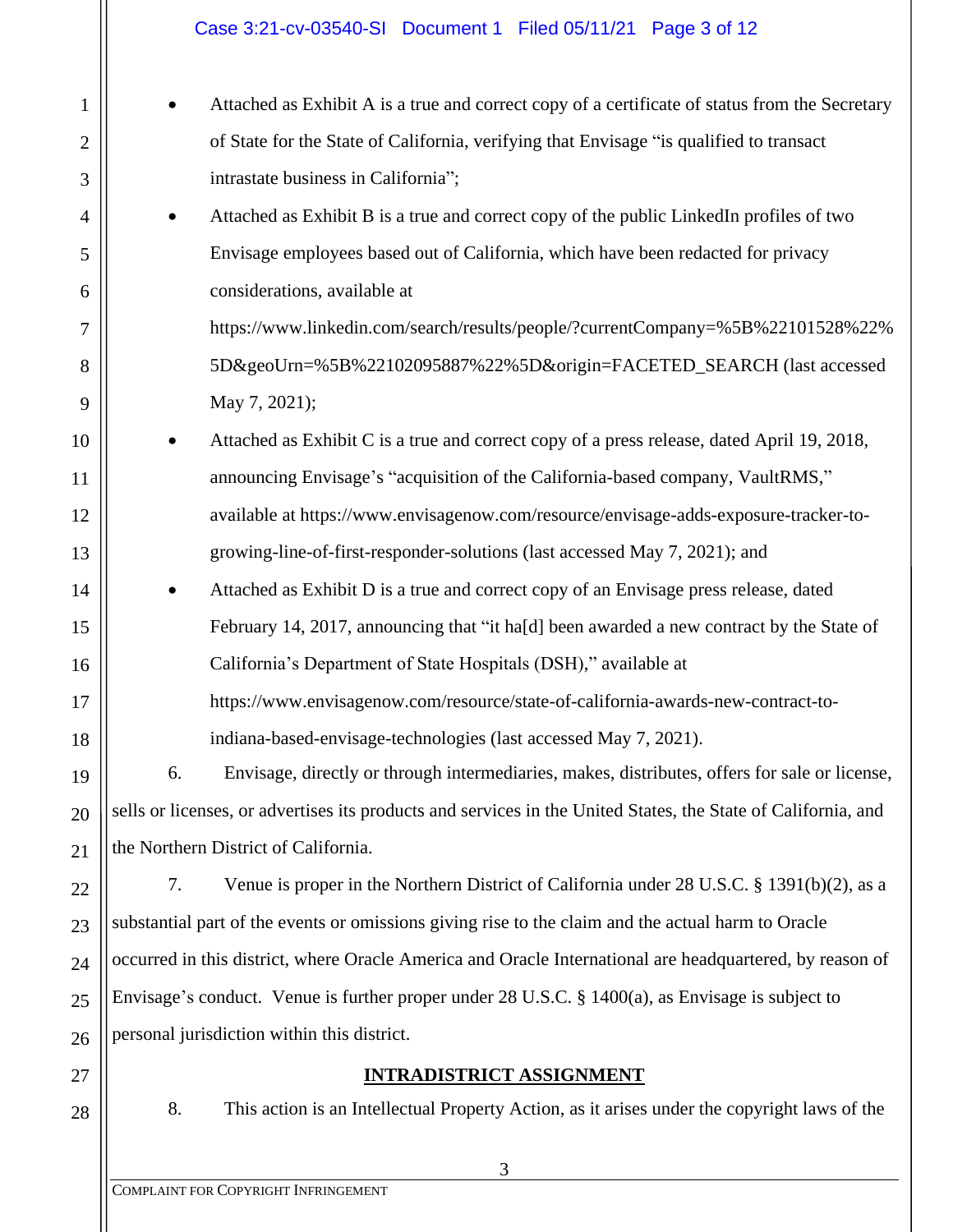1 2 3 4 5 6 7 8 9 10 11 12 13 14 15 16 17 18 19 20 21 22 23 24 25 26 27 28 • Attached as Exhibit A is a true and correct copy of a certificate of status from the Secretary of State for the State of California, verifying that Envisage "is qualified to transact intrastate business in California"; • Attached as Exhibit B is a true and correct copy of the public LinkedIn profiles of two Envisage employees based out of California, which have been redacted for privacy considerations, available at https://www.linkedin.com/search/results/people/?currentCompany=%5B%22101528%22% 5D&geoUrn=%5B%22102095887%22%5D&origin=FACETED\_SEARCH (last accessed May 7, 2021); • Attached as Exhibit C is a true and correct copy of a press release, dated April 19, 2018, announcing Envisage's "acquisition of the California-based company, VaultRMS," available at https://www.envisagenow.com/resource/envisage-adds-exposure-tracker-togrowing-line-of-first-responder-solutions (last accessed May 7, 2021); and • Attached as Exhibit D is a true and correct copy of an Envisage press release, dated February 14, 2017, announcing that "it ha[d] been awarded a new contract by the State of California's Department of State Hospitals (DSH)," available at https://www.envisagenow.com/resource/state-of-california-awards-new-contract-toindiana-based-envisage-technologies (last accessed May 7, 2021). 6. Envisage, directly or through intermediaries, makes, distributes, offers for sale or license, sells or licenses, or advertises its products and services in the United States, the State of California, and the Northern District of California. 7. Venue is proper in the Northern District of California under 28 U.S.C. § 1391(b)(2), as a substantial part of the events or omissions giving rise to the claim and the actual harm to Oracle occurred in this district, where Oracle America and Oracle International are headquartered, by reason of Envisage's conduct. Venue is further proper under 28 U.S.C. § 1400(a), as Envisage is subject to personal jurisdiction within this district. **INTRADISTRICT ASSIGNMENT** 8. This action is an Intellectual Property Action, as it arises under the copyright laws of the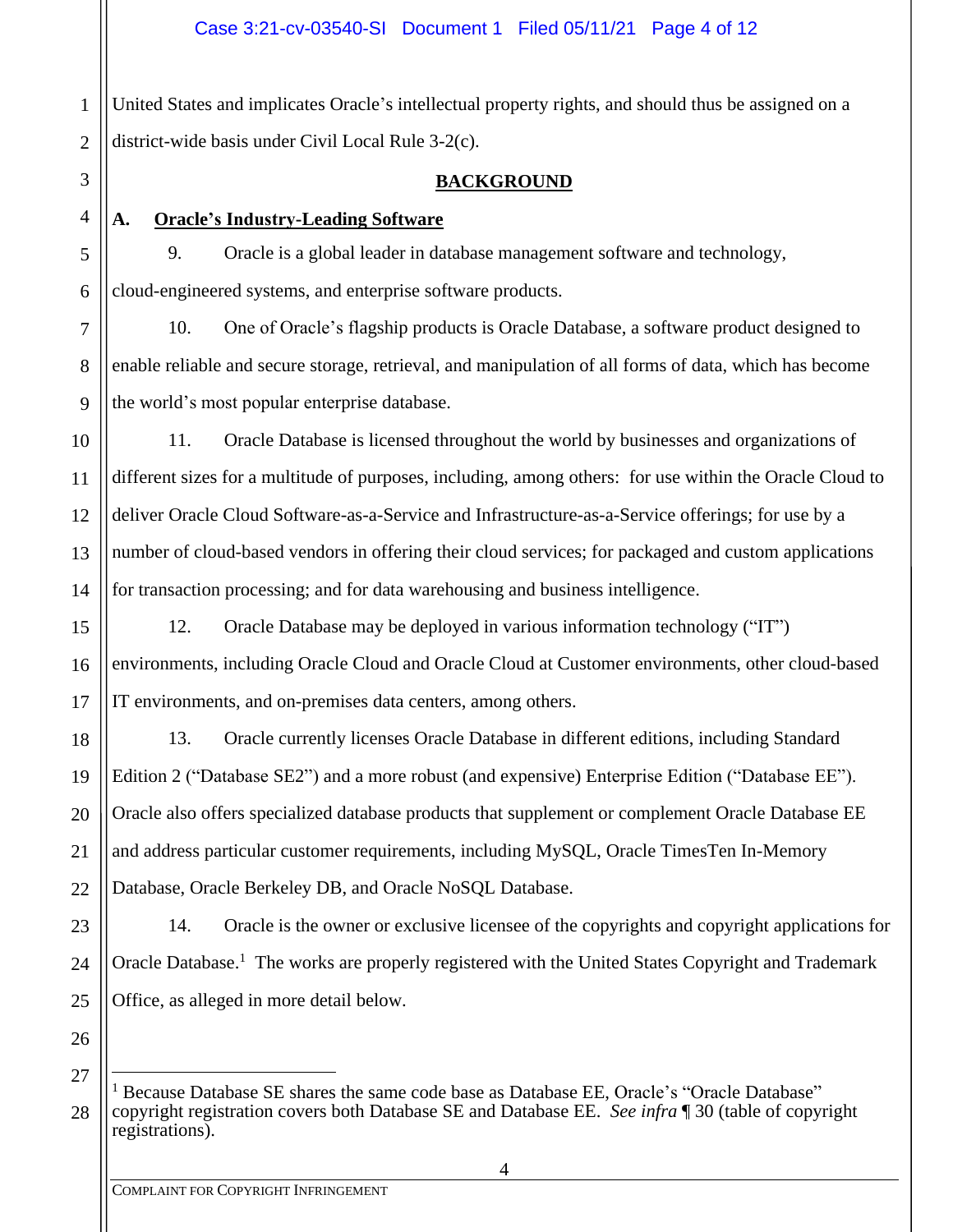1 2 United States and implicates Oracle's intellectual property rights, and should thus be assigned on a district-wide basis under Civil Local Rule 3-2(c).

3

4

5

6

7

8

9

15

16

17

18

19

20

21

22

## **BACKGROUND**

# **A. Oracle's Industry-Leading Software**

9. Oracle is a global leader in database management software and technology, cloud-engineered systems, and enterprise software products.

10. One of Oracle's flagship products is Oracle Database, a software product designed to enable reliable and secure storage, retrieval, and manipulation of all forms of data, which has become the world's most popular enterprise database.

10 11 12 13 14 11. Oracle Database is licensed throughout the world by businesses and organizations of different sizes for a multitude of purposes, including, among others: for use within the Oracle Cloud to deliver Oracle Cloud Software-as-a-Service and Infrastructure-as-a-Service offerings; for use by a number of cloud-based vendors in offering their cloud services; for packaged and custom applications for transaction processing; and for data warehousing and business intelligence.

12. Oracle Database may be deployed in various information technology ("IT") environments, including Oracle Cloud and Oracle Cloud at Customer environments, other cloud-based IT environments, and on-premises data centers, among others.

13. Oracle currently licenses Oracle Database in different editions, including Standard Edition 2 ("Database SE2") and a more robust (and expensive) Enterprise Edition ("Database EE"). Oracle also offers specialized database products that supplement or complement Oracle Database EE and address particular customer requirements, including MySQL, Oracle TimesTen In-Memory Database, Oracle Berkeley DB, and Oracle NoSQL Database.

23 24 25 14. Oracle is the owner or exclusive licensee of the copyrights and copyright applications for Oracle Database.<sup>1</sup> The works are properly registered with the United States Copyright and Trademark Office, as alleged in more detail below.

27 28

<sup>&</sup>lt;sup>1</sup> Because Database SE shares the same code base as Database EE, Oracle's "Oracle Database" copyright registration covers both Database SE and Database EE. *See infra* ¶ 30 (table of copyright registrations).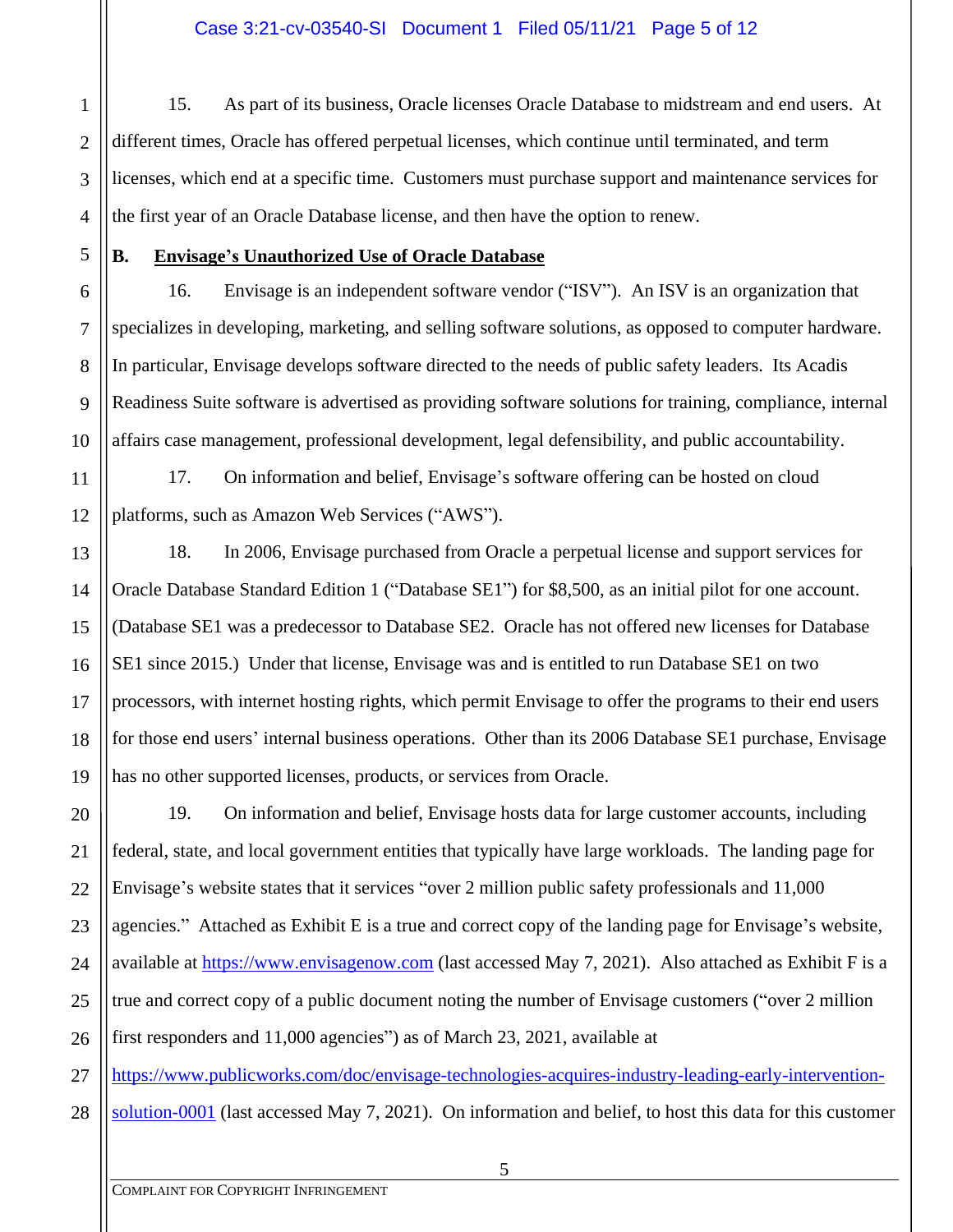1 2 3 15. As part of its business, Oracle licenses Oracle Database to midstream and end users. At different times, Oracle has offered perpetual licenses, which continue until terminated, and term licenses, which end at a specific time. Customers must purchase support and maintenance services for the first year of an Oracle Database license, and then have the option to renew.

## **B. Envisage's Unauthorized Use of Oracle Database**

16. Envisage is an independent software vendor ("ISV"). An ISV is an organization that specializes in developing, marketing, and selling software solutions, as opposed to computer hardware. In particular, Envisage develops software directed to the needs of public safety leaders. Its Acadis Readiness Suite software is advertised as providing software solutions for training, compliance, internal affairs case management, professional development, legal defensibility, and public accountability.

17. On information and belief, Envisage's software offering can be hosted on cloud platforms, such as Amazon Web Services ("AWS").

18. In 2006, Envisage purchased from Oracle a perpetual license and support services for Oracle Database Standard Edition 1 ("Database SE1") for \$8,500, as an initial pilot for one account. (Database SE1 was a predecessor to Database SE2. Oracle has not offered new licenses for Database SE1 since 2015.) Under that license, Envisage was and is entitled to run Database SE1 on two processors, with internet hosting rights, which permit Envisage to offer the programs to their end users for those end users' internal business operations. Other than its 2006 Database SE1 purchase, Envisage has no other supported licenses, products, or services from Oracle.

19. On information and belief, Envisage hosts data for large customer accounts, including federal, state, and local government entities that typically have large workloads. The landing page for Envisage's website states that it services "over 2 million public safety professionals and 11,000 agencies." Attached as Exhibit E is a true and correct copy of the landing page for Envisage's website, available at [https://www.envisagenow.com](https://www.envisagenow.com/) (last accessed May 7, 2021). Also attached as Exhibit F is a true and correct copy of a public document noting the number of Envisage customers ("over 2 million first responders and 11,000 agencies") as of March 23, 2021, available at

28 [https://www.publicworks.com/doc/envisage-technologies-acquires-industry-leading-early-intervention](https://www.publicworks.com/doc/envisage-technologies-acquires-industry-leading-early-intervention-solution-0001)[solution-0001](https://www.publicworks.com/doc/envisage-technologies-acquires-industry-leading-early-intervention-solution-0001) (last accessed May 7, 2021). On information and belief, to host this data for this customer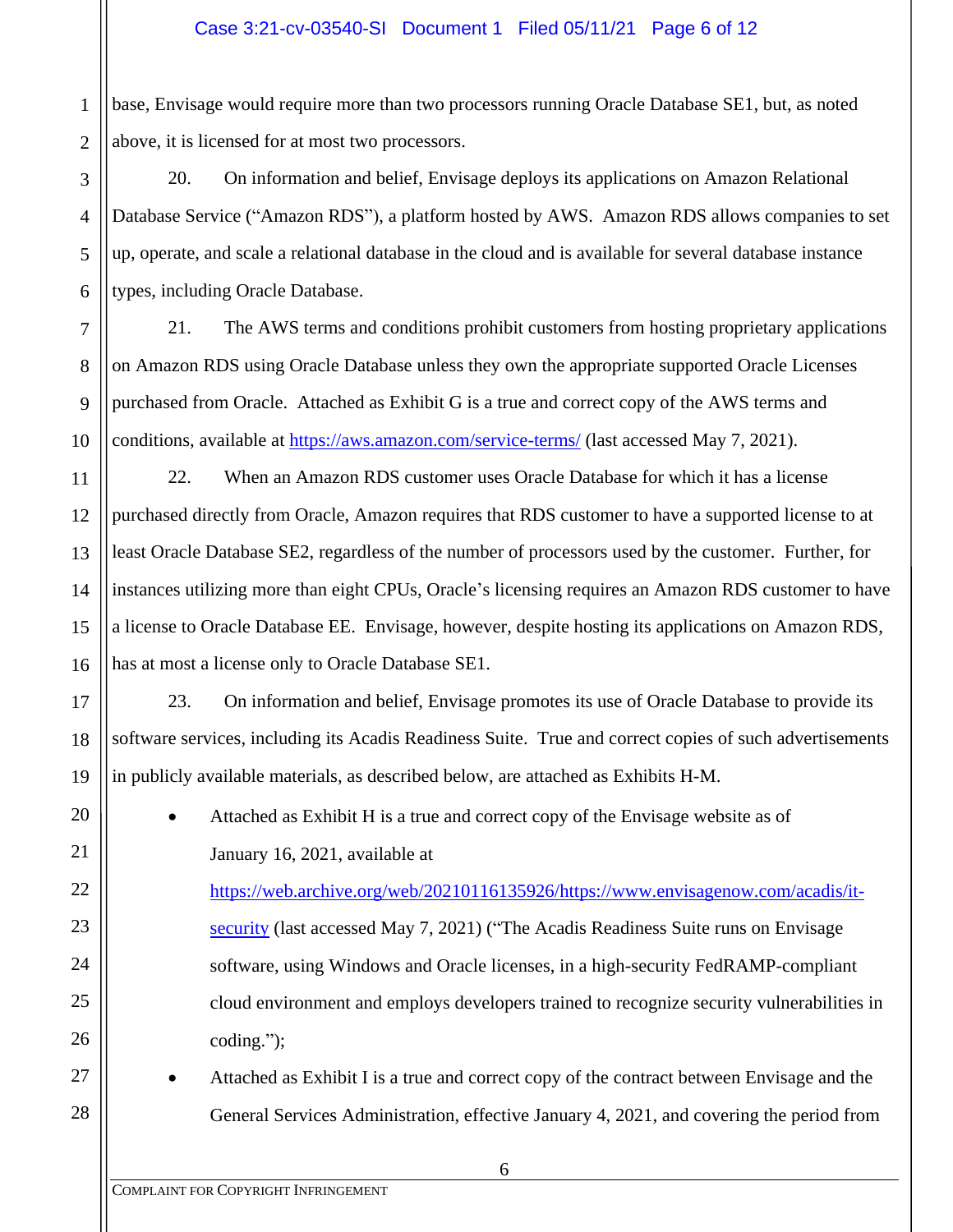1 2 base, Envisage would require more than two processors running Oracle Database SE1, but, as noted above, it is licensed for at most two processors.

3 4 5 6 20. On information and belief, Envisage deploys its applications on Amazon Relational Database Service ("Amazon RDS"), a platform hosted by AWS. Amazon RDS allows companies to set up, operate, and scale a relational database in the cloud and is available for several database instance types, including Oracle Database.

21. The AWS terms and conditions prohibit customers from hosting proprietary applications on Amazon RDS using Oracle Database unless they own the appropriate supported Oracle Licenses purchased from Oracle. Attached as Exhibit G is a true and correct copy of the AWS terms and conditions, available at <https://aws.amazon.com/service-terms/> (last accessed May 7, 2021).

22. When an Amazon RDS customer uses Oracle Database for which it has a license purchased directly from Oracle, Amazon requires that RDS customer to have a supported license to at least Oracle Database SE2, regardless of the number of processors used by the customer. Further, for instances utilizing more than eight CPUs, Oracle's licensing requires an Amazon RDS customer to have a license to Oracle Database EE. Envisage, however, despite hosting its applications on Amazon RDS, has at most a license only to Oracle Database SE1.

23. On information and belief, Envisage promotes its use of Oracle Database to provide its software services, including its Acadis Readiness Suite. True and correct copies of such advertisements in publicly available materials, as described below, are attached as Exhibits H-M.

• Attached as Exhibit H is a true and correct copy of the Envisage website as of January 16, 2021, available at

[https://web.archive.org/web/20210116135926/https://www.envisagenow.com/acadis/it](https://web.archive.org/web/20210116135926/https:/www.envisagenow.com/acadis/it-security)[security](https://web.archive.org/web/20210116135926/https:/www.envisagenow.com/acadis/it-security) (last accessed May 7, 2021) ("The Acadis Readiness Suite runs on Envisage software, using Windows and Oracle licenses, in a high-security FedRAMP-compliant cloud environment and employs developers trained to recognize security vulnerabilities in coding.");

27

28

7

8

9

10

11

12

13

14

15

16

17

18

19

20

21

22

23

24

25

26

• Attached as Exhibit I is a true and correct copy of the contract between Envisage and the General Services Administration, effective January 4, 2021, and covering the period from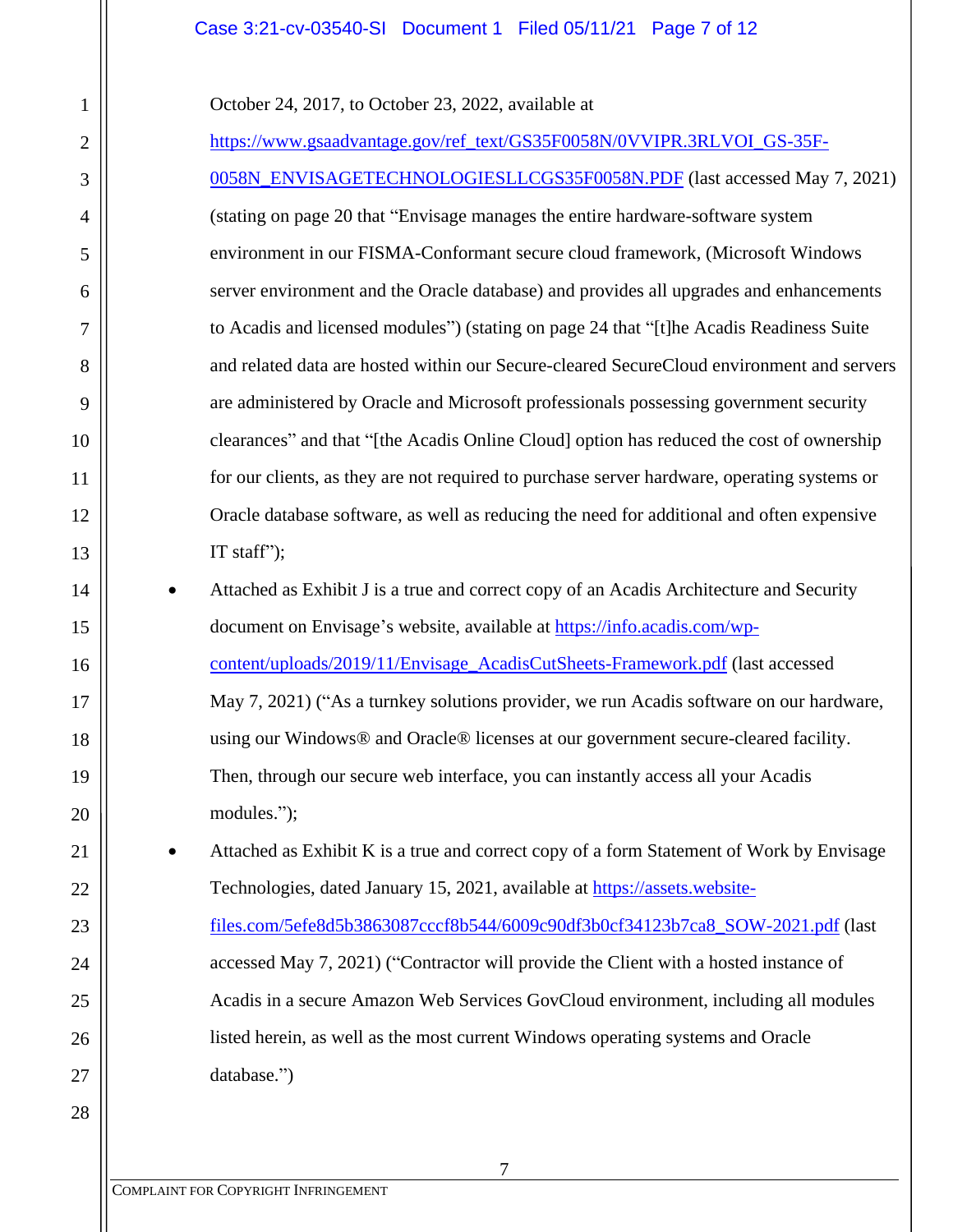### Case 3:21-cv-03540-SI Document 1 Filed 05/11/21 Page 7 of 12

October 24, 2017, to October 23, 2022, available at

1

2

3

4

5

6

7

8

9

10

11

12

13

14

15

16

17

18

19

20

21

22

23

24

25

26

27

28

[https://www.gsaadvantage.gov/ref\\_text/GS35F0058N/0VVIPR.3RLVOI\\_GS-35F-](https://www.gsaadvantage.gov/ref_text/GS35F0058N/0VVIPR.3RLVOI_GS-35F-0058N_ENVISAGETECHNOLOGIESLLCGS35F0058N.PDF)[0058N\\_ENVISAGETECHNOLOGIESLLCGS35F0058N.PDF](https://www.gsaadvantage.gov/ref_text/GS35F0058N/0VVIPR.3RLVOI_GS-35F-0058N_ENVISAGETECHNOLOGIESLLCGS35F0058N.PDF) (last accessed May 7, 2021) (stating on page 20 that "Envisage manages the entire hardware-software system environment in our FISMA-Conformant secure cloud framework, (Microsoft Windows server environment and the Oracle database) and provides all upgrades and enhancements to Acadis and licensed modules") (stating on page 24 that "[t]he Acadis Readiness Suite and related data are hosted within our Secure-cleared SecureCloud environment and servers are administered by Oracle and Microsoft professionals possessing government security clearances" and that "[the Acadis Online Cloud] option has reduced the cost of ownership for our clients, as they are not required to purchase server hardware, operating systems or Oracle database software, as well as reducing the need for additional and often expensive IT staff": • Attached as Exhibit J is a true and correct copy of an Acadis Architecture and Security document on Envisage's website, available at [https://info.acadis.com/wp](https://info.acadis.com/wp-content/uploads/2019/11/Envisage_AcadisCutSheets-Framework.pdf)[content/uploads/2019/11/Envisage\\_AcadisCutSheets-Framework.pdf](https://info.acadis.com/wp-content/uploads/2019/11/Envisage_AcadisCutSheets-Framework.pdf) (last accessed May 7, 2021) ("As a turnkey solutions provider, we run Acadis software on our hardware, using our Windows® and Oracle® licenses at our government secure-cleared facility. Then, through our secure web interface, you can instantly access all your Acadis modules."); • Attached as Exhibit K is a true and correct copy of a form Statement of Work by Envisage Technologies, dated January 15, 2021, available at [https://assets.website](https://assets.website-files.com/5efe8d5b3863087cccf8b544/6009c90df3b0cf34123b7ca8_SOW-2021.pdf)[files.com/5efe8d5b3863087cccf8b544/6009c90df3b0cf34123b7ca8\\_SOW-2021.pdf](https://assets.website-files.com/5efe8d5b3863087cccf8b544/6009c90df3b0cf34123b7ca8_SOW-2021.pdf) (last

accessed May 7, 2021) ("Contractor will provide the Client with a hosted instance of Acadis in a secure Amazon Web Services GovCloud environment, including all modules listed herein, as well as the most current Windows operating systems and Oracle database.")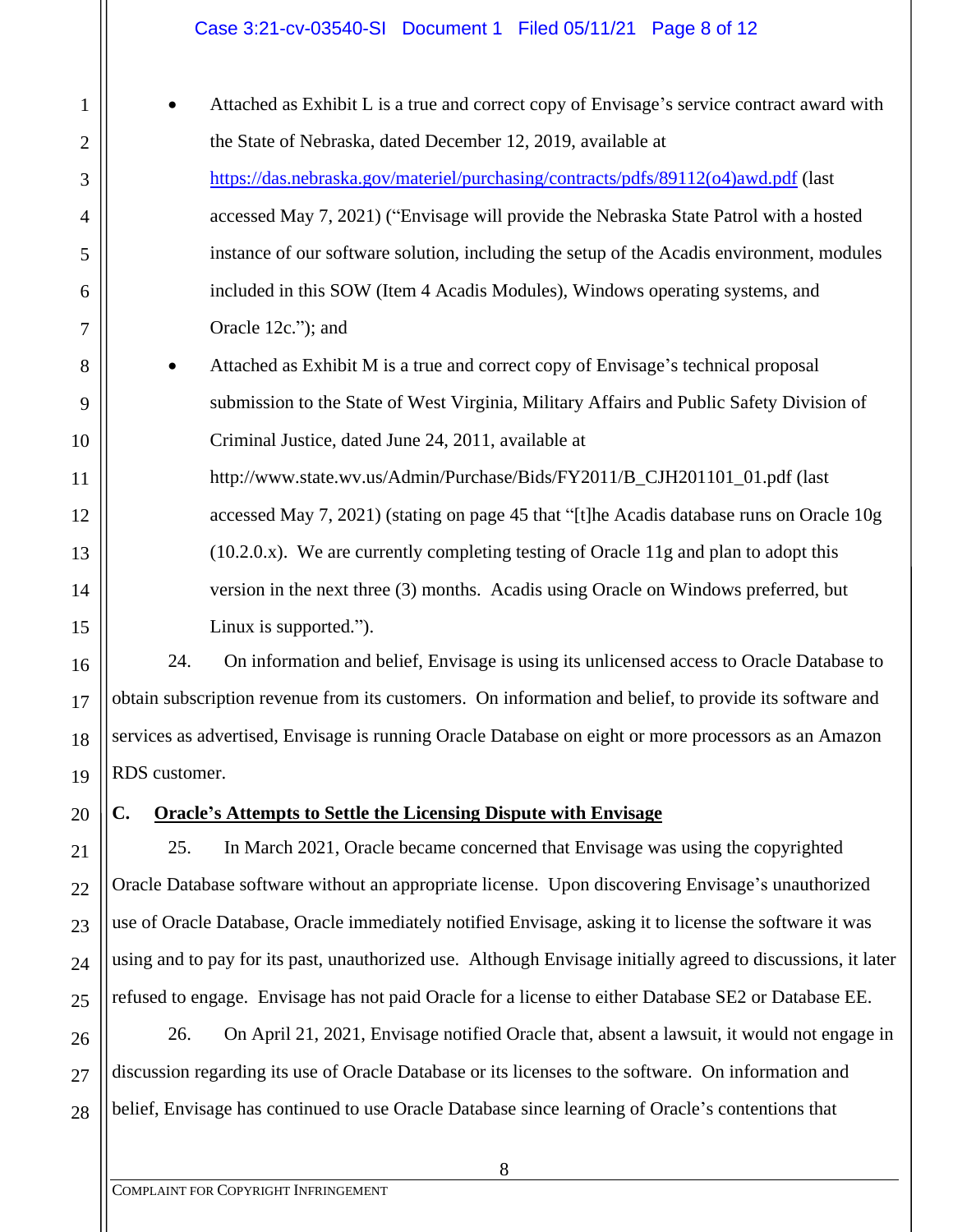### Case 3:21-cv-03540-SI Document 1 Filed 05/11/21 Page 8 of 12

| $\mathbf{1}$   | Attached as Exhibit L is a true and correct copy of Envisage's service contract award with |
|----------------|--------------------------------------------------------------------------------------------|
| $\overline{2}$ | the State of Nebraska, dated December 12, 2019, available at                               |
| 3              | https://das.nebraska.gov/materiel/purchasing/contracts/pdfs/89112(o4)awd.pdf (last         |
| $\overline{4}$ | accessed May 7, 2021) ("Envisage will provide the Nebraska State Patrol with a hosted      |
| 5              | instance of our software solution, including the setup of the Acadis environment, modules  |
| 6              | included in this SOW (Item 4 Acadis Modules), Windows operating systems, and               |
| 7              | Oracle 12c."); and                                                                         |
| 8              | Attached as Exhibit M is a true and correct copy of Envisage's technical proposal          |
| 9              | submission to the State of West Virginia, Military Affairs and Public Safety Division of   |
| 10             | Criminal Justice, dated June 24, 2011, available at                                        |
| 11             | http://www.state.wv.us/Admin/Purchase/Bids/FY2011/B_CJH201101_01.pdf (last                 |
| 12             | accessed May 7, 2021) (stating on page 45 that "[t]he Acadis database runs on Oracle 10g   |
| 13             | $(10.2.0.x)$ . We are currently completing testing of Oracle 11g and plan to adopt this    |
| 14             | version in the next three (3) months. Acadis using Oracle on Windows preferred, but        |
| 15             | Linux is supported.").                                                                     |
|                |                                                                                            |

24. On information and belief, Envisage is using its unlicensed access to Oracle Database to obtain subscription revenue from its customers. On information and belief, to provide its software and services as advertised, Envisage is running Oracle Database on eight or more processors as an Amazon RDS customer.

20

16

17

18

19

21

22

23

24

25

# **C. Oracle's Attempts to Settle the Licensing Dispute with Envisage**

25. In March 2021, Oracle became concerned that Envisage was using the copyrighted Oracle Database software without an appropriate license. Upon discovering Envisage's unauthorized use of Oracle Database, Oracle immediately notified Envisage, asking it to license the software it was using and to pay for its past, unauthorized use. Although Envisage initially agreed to discussions, it later refused to engage. Envisage has not paid Oracle for a license to either Database SE2 or Database EE.

26 27 28 26. On April 21, 2021, Envisage notified Oracle that, absent a lawsuit, it would not engage in discussion regarding its use of Oracle Database or its licenses to the software. On information and belief, Envisage has continued to use Oracle Database since learning of Oracle's contentions that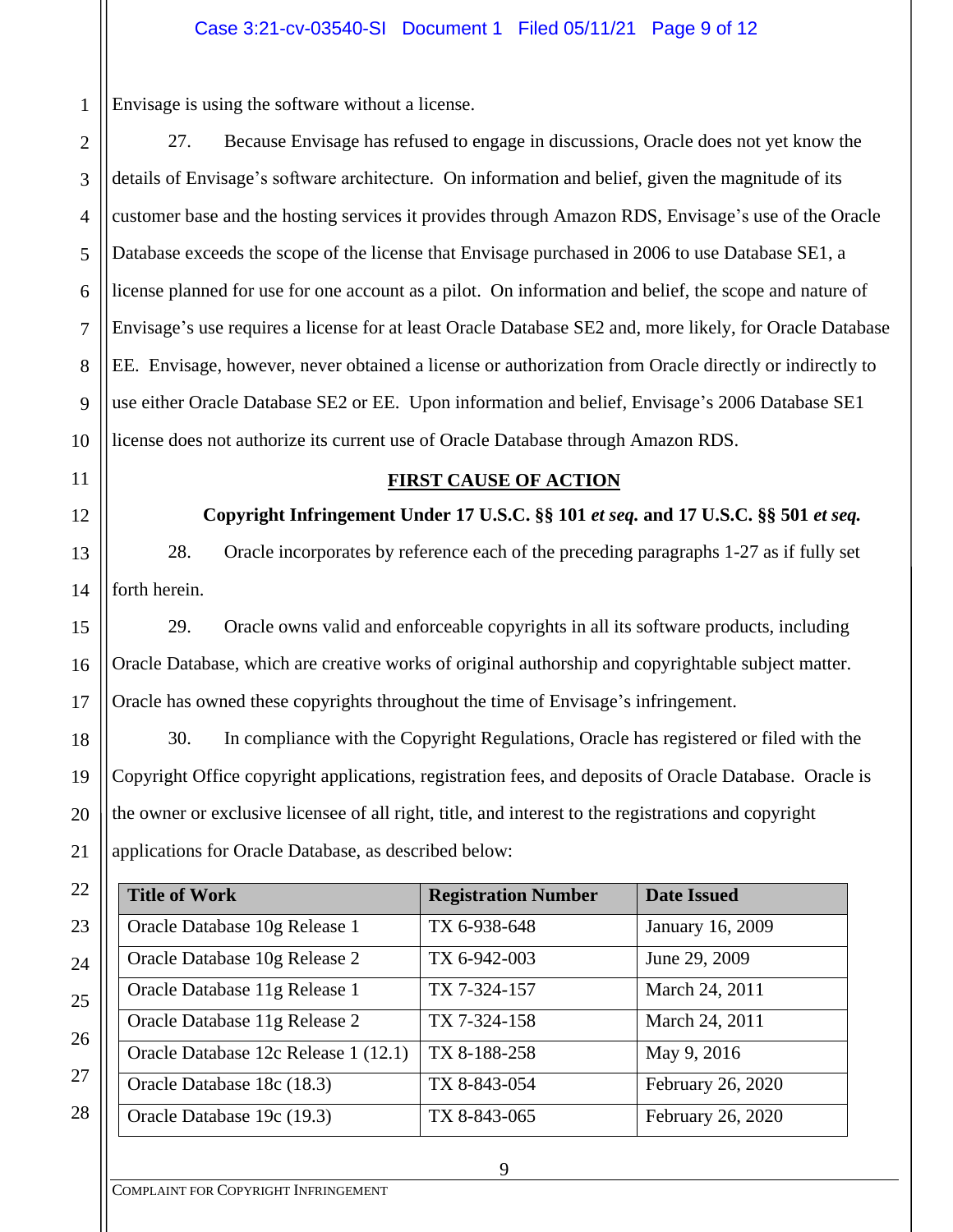Envisage is using the software without a license.

27. Because Envisage has refused to engage in discussions, Oracle does not yet know the details of Envisage's software architecture. On information and belief, given the magnitude of its customer base and the hosting services it provides through Amazon RDS, Envisage's use of the Oracle Database exceeds the scope of the license that Envisage purchased in 2006 to use Database SE1, a license planned for use for one account as a pilot. On information and belief, the scope and nature of Envisage's use requires a license for at least Oracle Database SE2 and, more likely, for Oracle Database EE. Envisage, however, never obtained a license or authorization from Oracle directly or indirectly to use either Oracle Database SE2 or EE. Upon information and belief, Envisage's 2006 Database SE1 license does not authorize its current use of Oracle Database through Amazon RDS.

1

2

3

4

5

6

7

8

9

## **FIRST CAUSE OF ACTION**

**Copyright Infringement Under 17 U.S.C. §§ 101** *et seq.* **and 17 U.S.C. §§ 501** *et seq.*

28. Oracle incorporates by reference each of the preceding paragraphs 1-27 as if fully set forth herein.

29. Oracle owns valid and enforceable copyrights in all its software products, including Oracle Database, which are creative works of original authorship and copyrightable subject matter. Oracle has owned these copyrights throughout the time of Envisage's infringement.

30. In compliance with the Copyright Regulations, Oracle has registered or filed with the Copyright Office copyright applications, registration fees, and deposits of Oracle Database. Oracle is the owner or exclusive licensee of all right, title, and interest to the registrations and copyright applications for Oracle Database, as described below:

| 22 | <b>Title of Work</b>                 | <b>Registration Number</b> | <b>Date Issued</b> |
|----|--------------------------------------|----------------------------|--------------------|
| 23 | Oracle Database 10g Release 1        | TX 6-938-648               | January 16, 2009   |
| 24 | Oracle Database 10g Release 2        | TX 6-942-003               | June 29, 2009      |
| 25 | Oracle Database 11g Release 1        | TX 7-324-157               | March 24, 2011     |
| 26 | Oracle Database 11g Release 2        | TX 7-324-158               | March 24, 2011     |
|    | Oracle Database 12c Release 1 (12.1) | TX 8-188-258               | May 9, 2016        |
| 27 | Oracle Database 18c (18.3)           | TX 8-843-054               | February 26, 2020  |
| 28 | Oracle Database 19c (19.3)           | TX 8-843-065               | February 26, 2020  |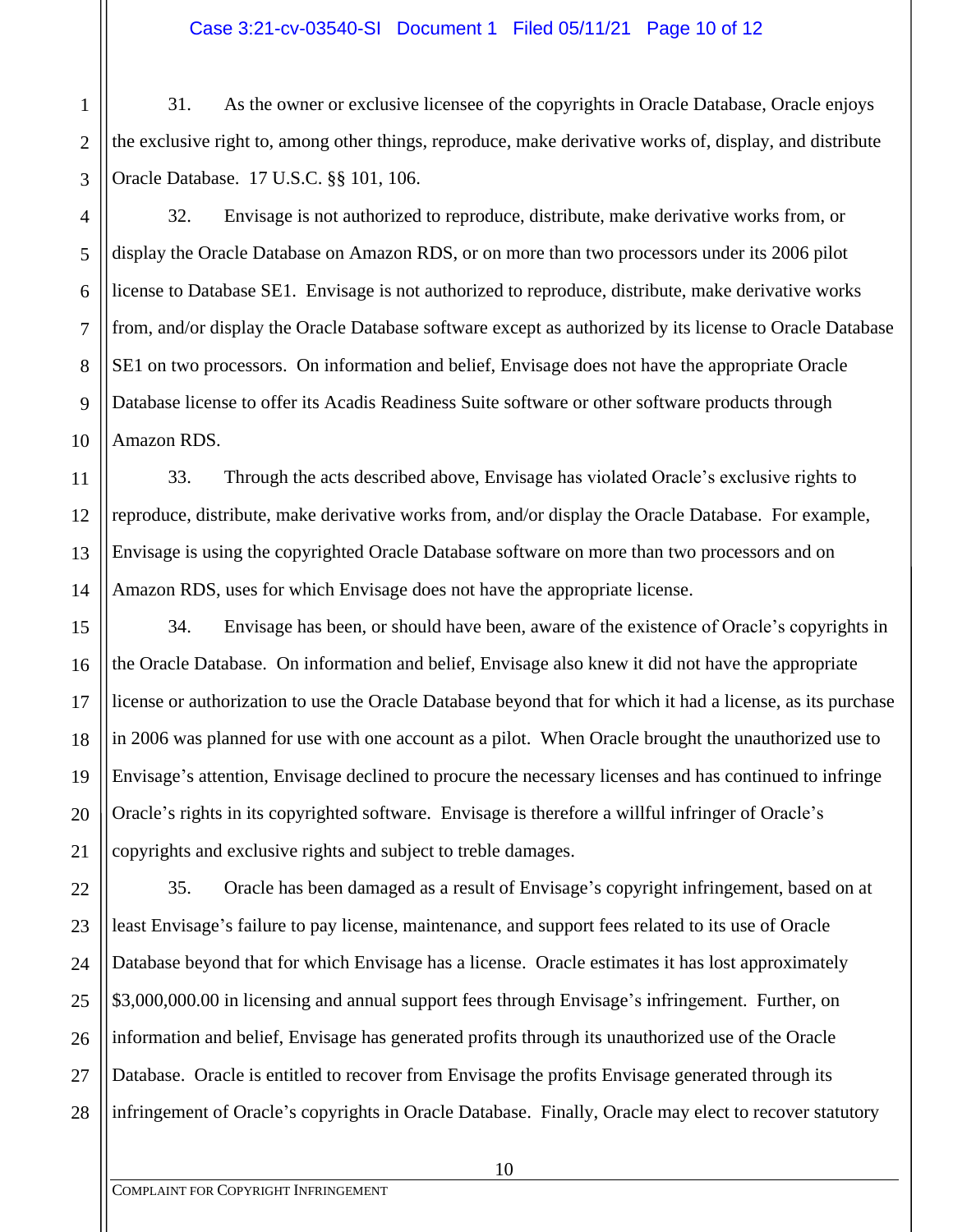1 2 3 31. As the owner or exclusive licensee of the copyrights in Oracle Database, Oracle enjoys the exclusive right to, among other things, reproduce, make derivative works of, display, and distribute Oracle Database. 17 U.S.C. §§ 101, 106.

32. Envisage is not authorized to reproduce, distribute, make derivative works from, or display the Oracle Database on Amazon RDS, or on more than two processors under its 2006 pilot license to Database SE1. Envisage is not authorized to reproduce, distribute, make derivative works from, and/or display the Oracle Database software except as authorized by its license to Oracle Database SE1 on two processors. On information and belief, Envisage does not have the appropriate Oracle Database license to offer its Acadis Readiness Suite software or other software products through Amazon RDS.

33. Through the acts described above, Envisage has violated Oracle's exclusive rights to reproduce, distribute, make derivative works from, and/or display the Oracle Database. For example, Envisage is using the copyrighted Oracle Database software on more than two processors and on Amazon RDS, uses for which Envisage does not have the appropriate license.

34. Envisage has been, or should have been, aware of the existence of Oracle's copyrights in the Oracle Database. On information and belief, Envisage also knew it did not have the appropriate license or authorization to use the Oracle Database beyond that for which it had a license, as its purchase in 2006 was planned for use with one account as a pilot. When Oracle brought the unauthorized use to Envisage's attention, Envisage declined to procure the necessary licenses and has continued to infringe Oracle's rights in its copyrighted software. Envisage is therefore a willful infringer of Oracle's copyrights and exclusive rights and subject to treble damages.

35. Oracle has been damaged as a result of Envisage's copyright infringement, based on at least Envisage's failure to pay license, maintenance, and support fees related to its use of Oracle Database beyond that for which Envisage has a license. Oracle estimates it has lost approximately \$3,000,000.00 in licensing and annual support fees through Envisage's infringement. Further, on information and belief, Envisage has generated profits through its unauthorized use of the Oracle Database. Oracle is entitled to recover from Envisage the profits Envisage generated through its infringement of Oracle's copyrights in Oracle Database. Finally, Oracle may elect to recover statutory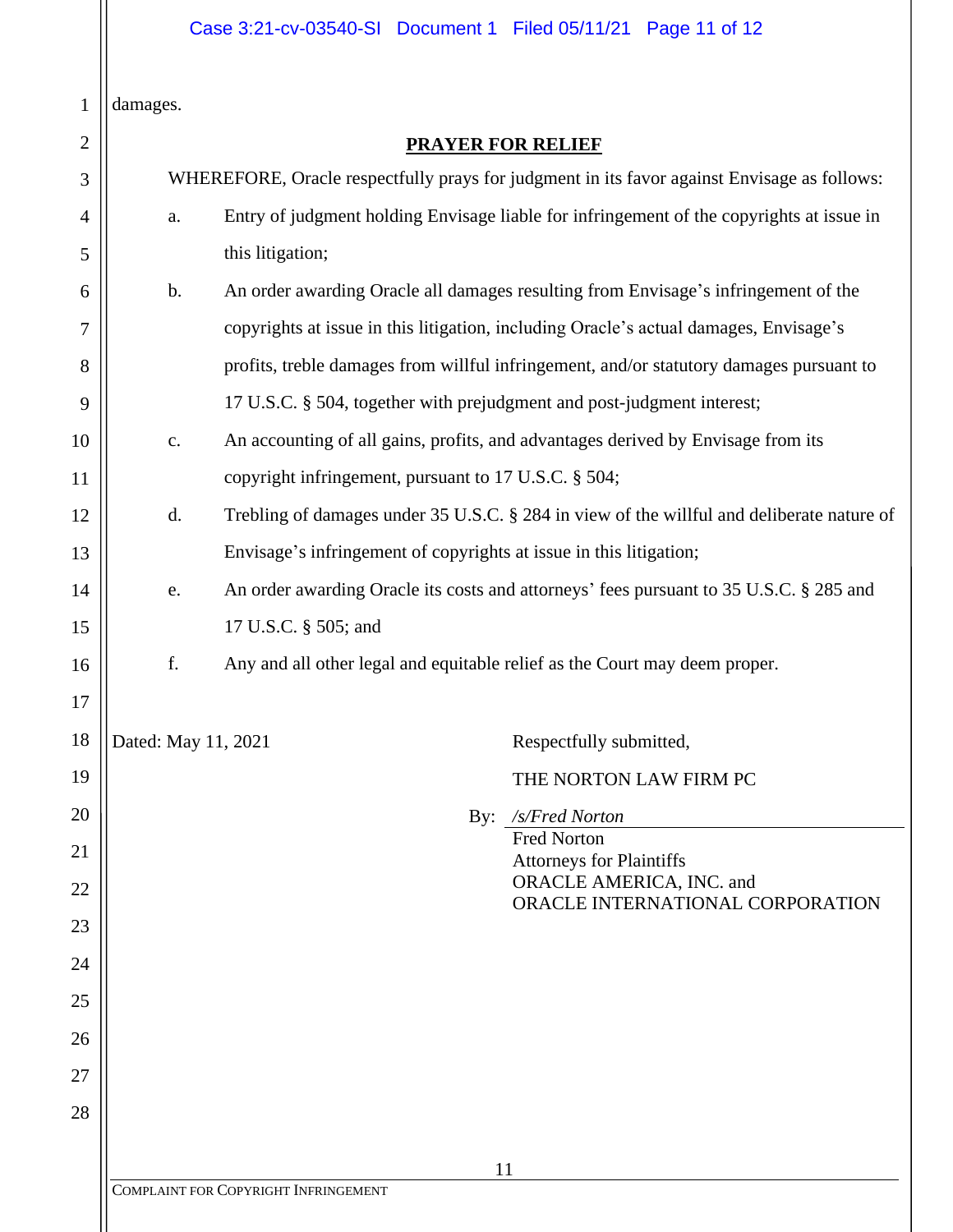damages.

| 1              | damages.                                                                                    |                                                                                           |
|----------------|---------------------------------------------------------------------------------------------|-------------------------------------------------------------------------------------------|
| $\overline{2}$ |                                                                                             | <b>PRAYER FOR RELIEF</b>                                                                  |
| 3              | WHEREFORE, Oracle respectfully prays for judgment in its favor against Envisage as follows: |                                                                                           |
| 4              | a.                                                                                          | Entry of judgment holding Envisage liable for infringement of the copyrights at issue in  |
| 5              |                                                                                             | this litigation;                                                                          |
| 6              | b.                                                                                          | An order awarding Oracle all damages resulting from Envisage's infringement of the        |
| 7              |                                                                                             | copyrights at issue in this litigation, including Oracle's actual damages, Envisage's     |
| 8              |                                                                                             | profits, treble damages from willful infringement, and/or statutory damages pursuant to   |
| 9              |                                                                                             | 17 U.S.C. § 504, together with prejudgment and post-judgment interest;                    |
| 10             | $\mathbf{c}$ .                                                                              | An accounting of all gains, profits, and advantages derived by Envisage from its          |
| 11             |                                                                                             | copyright infringement, pursuant to 17 U.S.C. § 504;                                      |
| 12             | d.                                                                                          | Trebling of damages under 35 U.S.C. § 284 in view of the willful and deliberate nature of |
| 13             |                                                                                             | Envisage's infringement of copyrights at issue in this litigation;                        |
| 14             | e.                                                                                          | An order awarding Oracle its costs and attorneys' fees pursuant to 35 U.S.C. § 285 and    |
| 15             |                                                                                             | 17 U.S.C. § 505; and                                                                      |
| 16             | f.                                                                                          | Any and all other legal and equitable relief as the Court may deem proper.                |
| 17             |                                                                                             |                                                                                           |
| 18             | Dated: May 11, 2021                                                                         | Respectfully submitted,                                                                   |
| 19             |                                                                                             | THE NORTON LAW FIRM PC                                                                    |
| 20             |                                                                                             | By: /s/Fred Norton                                                                        |
| 21             |                                                                                             | <b>Fred Norton</b><br><b>Attorneys for Plaintiffs</b>                                     |
| 22             |                                                                                             | ORACLE AMERICA, INC. and<br>ORACLE INTERNATIONAL CORPORATION                              |
| 23             |                                                                                             |                                                                                           |
| 24             |                                                                                             |                                                                                           |
| 25             |                                                                                             |                                                                                           |
| 26             |                                                                                             |                                                                                           |
| 27             |                                                                                             |                                                                                           |
| 28             |                                                                                             |                                                                                           |
|                |                                                                                             | 11                                                                                        |
|                |                                                                                             | COMPLAINT FOR COPYRIGHT INFRINGEMENT                                                      |
|                |                                                                                             |                                                                                           |